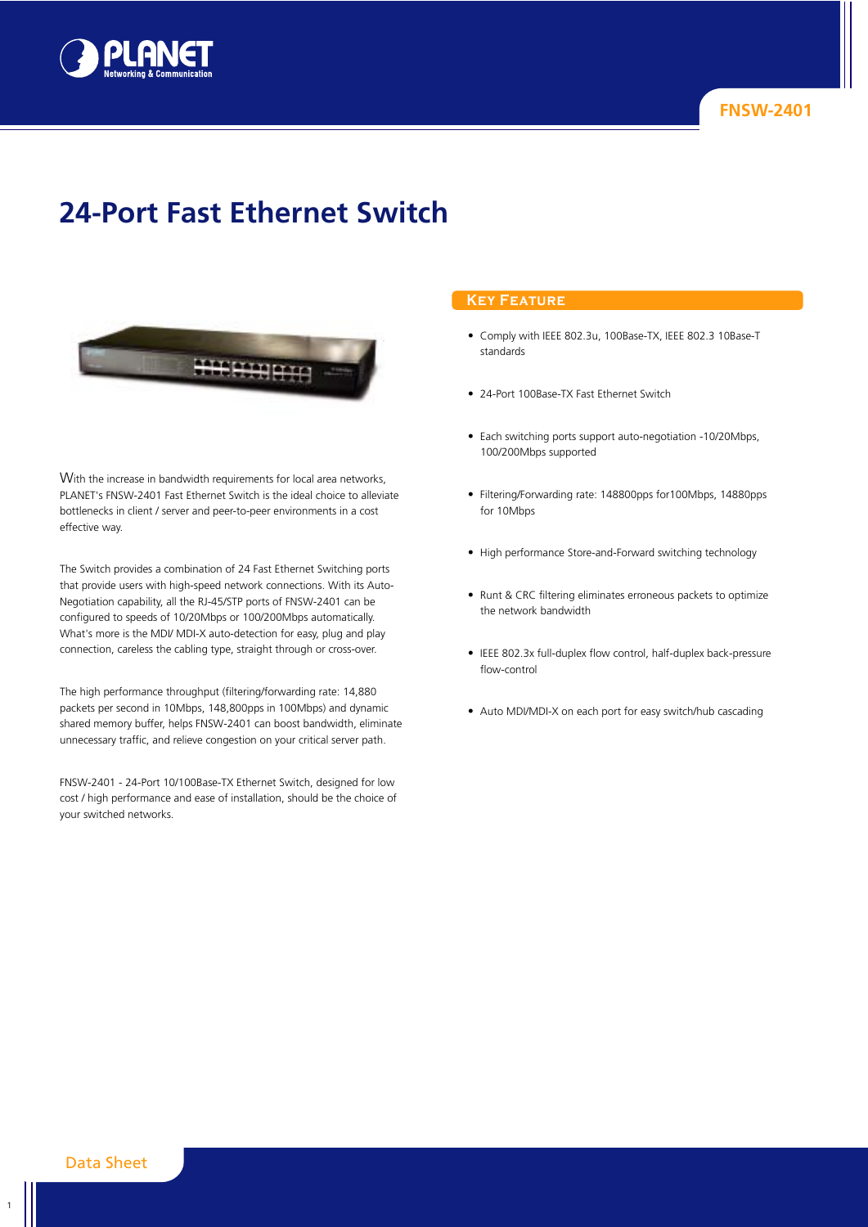

# **24-Port Fast Ethernet Switch**



With the increase in bandwidth requirements for local area networks, PLANET's FNSW-2401 Fast Ethernet Switch is the ideal choice to alleviate bottlenecks in client / server and peer-to-peer environments in a cost effective way.

The Switch provides a combination of 24 Fast Ethernet Switching ports that provide users with high-speed network connections. With its Auto-Negotiation capability, all the RJ-45/STP ports of FNSW-2401 can be configured to speeds of 10/20Mbps or 100/200Mbps automatically. What's more is the MDI/ MDI-X auto-detection for easy, plug and play connection, careless the cabling type, straight through or cross-over.

The high performance throughput (filtering/forwarding rate: 14,880 packets per second in 10Mbps, 148,800pps in 100Mbps) and dynamic shared memory buffer, helps FNSW-2401 can boost bandwidth, eliminate unnecessary traffic, and relieve congestion on your critical server path.

FNSW-2401 - 24-Port 10/100Base-TX Ethernet Switch, designed for low cost / high performance and ease of installation, should be the choice of your switched networks.

# **Key Feature**

- **•** Comply with IEEE 802.3u, 100Base-TX, IEEE 802.3 10Base-T standards
- **•** 24-Port 100Base-TX Fast Ethernet Switch
- **•** Each switching ports support auto-negotiation -10/20Mbps, 100/200Mbps supported
- **•** Filtering/Forwarding rate: 148800pps for100Mbps, 14880pps for 10Mbps
- **•** High performance Store-and-Forward switching technology
- **•** Runt & CRC filtering eliminates erroneous packets to optimize the network bandwidth
- **•** IEEE 802.3x full-duplex flow control, half-duplex back-pressure flow-control
- **•** Auto MDI/MDI-X on each port for easy switch/hub cascading

1